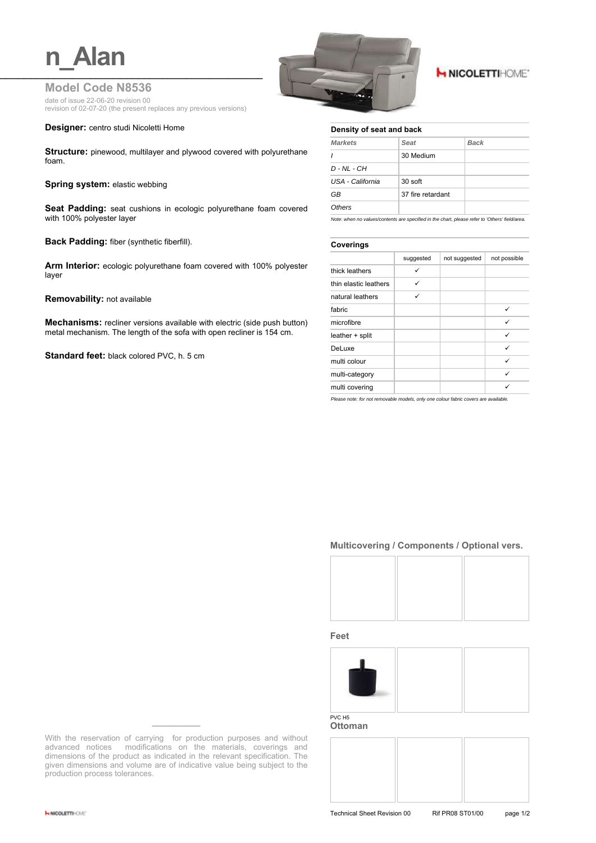## **Model Code N8536**

date of issue 22-06-20 revision 00 revision of 02-07-20 (the present replaces any previous versions)

#### **Designer:** centro studi Nicoletti Home

**Structure:** pinewood, multilayer and plywood covered with polyurethane foam.

#### **Spring system: elastic webbing**

**Seat Padding:** seat cushions in ecologic polyurethane foam covered with 100% polyester layer

**Back Padding:** fiber (synthetic fiberfill).

**Arm Interior:** ecologic polyurethane foam covered with 100% polyester layer

**Removability:** not available

**Mechanisms:** recliner versions available with electric (side push button) metal mechanism. The length of the sofa with open recliner is 154 cm.

**Standard feet:** black colored PVC, h. 5 cm



# **H NICOLETTIHOME'**

#### **Density of seat and back**

| <b>Markets</b>   | <b>Seat</b>       | Back |
|------------------|-------------------|------|
|                  | 30 Medium         |      |
| $D - NL - CH$    |                   |      |
| USA - California | $30$ soft         |      |
| GB               | 37 fire retardant |      |
| Others           |                   |      |

*Note: when no values/contents are specified in the chart, please refer to 'Others' field/area.*

#### **Coverings**

| . <u>.</u> .          |           |               |              |  |
|-----------------------|-----------|---------------|--------------|--|
|                       | suggested | not suggested | not possible |  |
| thick leathers        | ✓         |               |              |  |
| thin elastic leathers | ✓         |               |              |  |
| natural leathers      | ✓         |               |              |  |
| fabric                |           |               | ✓            |  |
| microfibre            |           |               | ✓            |  |
| leather + split       |           |               | ✓            |  |
| DeLuxe                |           |               | ✓            |  |
| multi colour          |           |               | ✓            |  |
| multi-category        |           |               | ✓            |  |
| multi covering        |           |               |              |  |

*Please note: for not removable models, only one colour fabric covers are available.*

### **Multicovering / Components / Optional vers.**



**Feet**



**Ottoman**

With the reservation of carrying for production purposes and without advanced notices modifications on the materials, coverings and dimensions of the product as indicated in the relevant specification. The given dimensions and volume are of indicative value being subject to the production process tolerances.